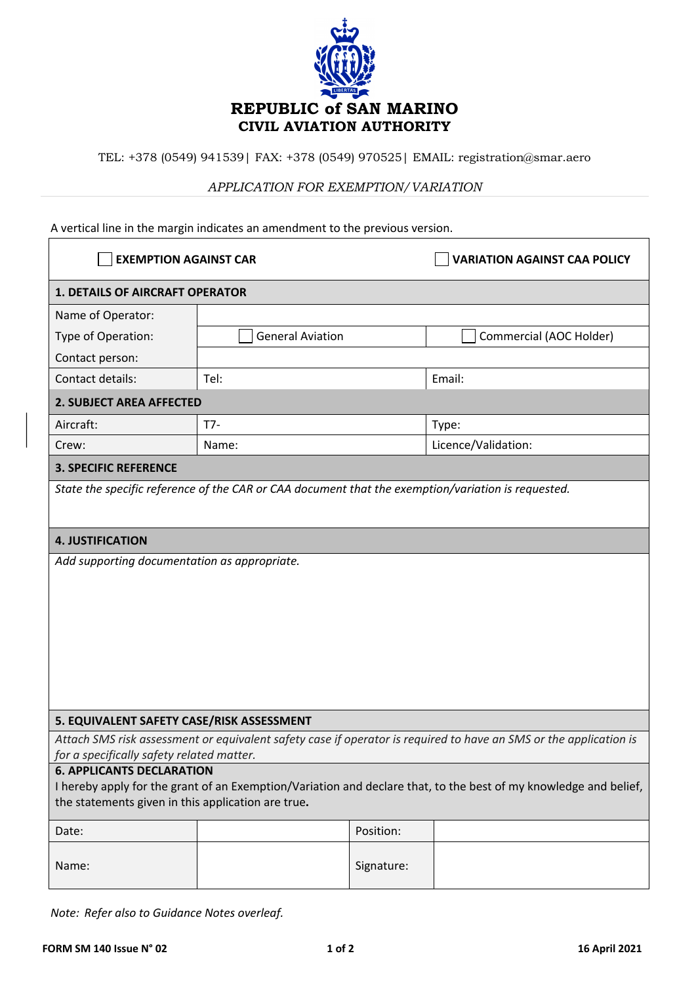

TEL: +378 (0549) 941539| FAX: +378 (0549) 970525| EMAIL: registration@smar.aero

## *APPLICATION FOR EXEMPTION/VARIATION*

## A vertical line in the margin indicates an amendment to the previous version.

| <b>EXEMPTION AGAINST CAR</b>                                                                                      |                         |            | <b>VARIATION AGAINST CAA POLICY</b> |
|-------------------------------------------------------------------------------------------------------------------|-------------------------|------------|-------------------------------------|
| <b>1. DETAILS OF AIRCRAFT OPERATOR</b>                                                                            |                         |            |                                     |
| Name of Operator:                                                                                                 |                         |            |                                     |
| Type of Operation:                                                                                                | <b>General Aviation</b> |            | Commercial (AOC Holder)             |
| Contact person:                                                                                                   |                         |            |                                     |
| Contact details:                                                                                                  | Tel:                    |            | Email:                              |
| <b>2. SUBJECT AREA AFFECTED</b>                                                                                   |                         |            |                                     |
| Aircraft:                                                                                                         | $T7-$                   |            | Type:                               |
| Crew:                                                                                                             | Name:                   |            | Licence/Validation:                 |
| <b>3. SPECIFIC REFERENCE</b>                                                                                      |                         |            |                                     |
| State the specific reference of the CAR or CAA document that the exemption/variation is requested.                |                         |            |                                     |
|                                                                                                                   |                         |            |                                     |
| <b>4. JUSTIFICATION</b>                                                                                           |                         |            |                                     |
| Add supporting documentation as appropriate.                                                                      |                         |            |                                     |
|                                                                                                                   |                         |            |                                     |
|                                                                                                                   |                         |            |                                     |
|                                                                                                                   |                         |            |                                     |
|                                                                                                                   |                         |            |                                     |
|                                                                                                                   |                         |            |                                     |
|                                                                                                                   |                         |            |                                     |
|                                                                                                                   |                         |            |                                     |
| 5. EQUIVALENT SAFETY CASE/RISK ASSESSMENT                                                                         |                         |            |                                     |
| Attach SMS risk assessment or equivalent safety case if operator is required to have an SMS or the application is |                         |            |                                     |
| for a specifically safety related matter.<br><b>6. APPLICANTS DECLARATION</b>                                     |                         |            |                                     |
| I hereby apply for the grant of an Exemption/Variation and declare that, to the best of my knowledge and belief,  |                         |            |                                     |
| the statements given in this application are true.                                                                |                         |            |                                     |
| Date:                                                                                                             |                         | Position:  |                                     |
| Name:                                                                                                             |                         | Signature: |                                     |

*Note: Refer also to Guidance Notes overleaf.*